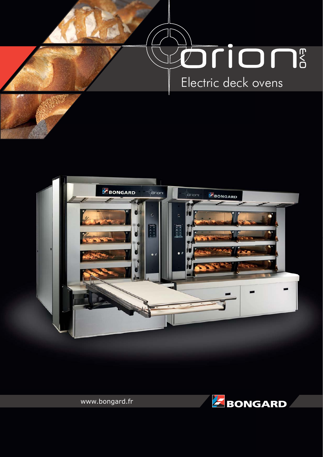





www.bongard.fr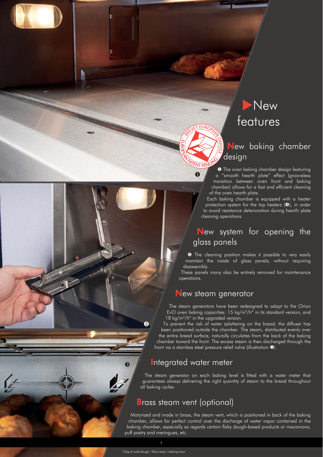# **New** features

## New baking chamber design

**O** The oven baking chamber design featuring a "smooth hearth plate" effect (grooveless transition between oven front and baking chamber) allows for a fast and efficient cleaning of the oven hearth plate.

Each baking chamber is equipped with a heater protection system for the top heaters  $(\bullet)$ , in order to avoid resistance deterioration during hearth plate cleaning operations.

## New system for opening the glass panels

**<sup>2</sup>** The cleaning position makes it possible to very easily maintain the inside of glass panels, without requiring disassembly.

These panels many also be entirely removed for maintenance operations.

## New steam generator

 $\bullet$ 

ROPEN PATENT PENDING

BREVET EUROPEEN

 e

DE᠊ᠸ  $\circ$  $\%$ -

The steam generators have been redesigned to adapt to the Orion EvO oven baking capacities: 15 kg/m2/h\* in its standard version, and 18 kg/m<sup>2</sup>/h<sup>\*</sup> in the upgraded version.

To prevent the risk of water splattering on the bread, the diffuser has been positioned outside the chamber. The steam, distributed evenly over the entire bread surface, naturally circulates from the back of the baking chamber toward the front. The excess steam is then discharged through the front via a stainless steel pressure relief valve (illustration  $\bullet$ ).

## Integrated water meter

The steam generator on each baking level is fitted with a water meter that guarantees always delivering the right quantity of steam to the bread throughout all baking cycles.

## Brass steam vent (optional)

Motorized and made in brass, the steam vent, which is positioned in back of the baking chamber, allows for perfect control over the discharge of water vapor contained in the baking chamber, especially as regards certain flaky dough-based products or macaroons, puff pastry and meringues, etc.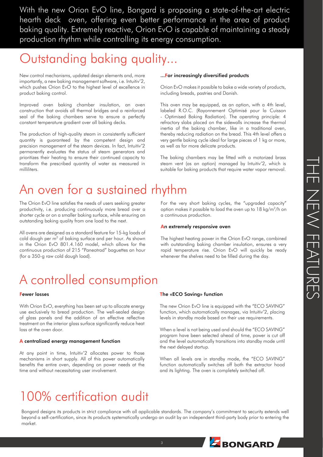THE NEW FEATURES THE NEW FEATURES

With the new Orion EvO line, Bongard is proposing a state-of-the-art electric hearth deck oven, offering even better performance in the area of product baking quality. Extremely reactive, Orion EvO is capable of maintaining a steady production rhythm while controlling its energy consumption.

# Outstanding baking quality...

New control mechanisms, updated design elements and, more importantly, a new baking management software, i.e. Intuitiv'2, which pushes Orion EvO to the highest level of excellence in product baking control.

Improved oven baking chamber insulation, an oven construction that avoids all thermal bridges and a reinforced seal of the baking chambers serve to ensure a perfectly constant temperature gradient over all baking decks.

The production of high-quality steam in consistently sufficient quantity is guaranteed by the competent design and precision management of the steam devices. In fact, Intuitiv'2 permanently evaluates the status of steam generators and prioritizes their heating to ensure their continued capacity to transform the prescribed quantity of water as measured in milliliters.

## ...For increasingly diversified products

Orion EvO makes it possible to bake a wide variety of products, including breads, pastries and Danish.

This oven may be equipped, as an option, with a 4th level, labeled R.O.C. (Rayonnement Optimisé pour la Cuisson - Optimised Baking Radiation). The operating principle: 4 refractory slabs placed on the sidewalls increase the thermal inertia of the baking chamber, like in a traditional oven, thereby reducing radiation on the bread. This 4th level offers a very gentle baking cycle ideal for large pieces of 1 kg or more, as well as for more delicate products.

The baking chambers may be fitted with a motorized brass steam vent (as an option) managed by Intuitiv'2, which is suitable for baking products that require water vapor removal.

# An oven for a sustained rhythm

The Orion EvO line satisfies the needs of users seeking greater productivity, i.e. producing continuously more bread over a shorter cycle or on a smaller baking surface, while ensuring an outstanding baking quality from one load to the next.

All ovens are designed as a standard feature for 15-kg loads of cold dough per m<sup>2</sup> of baking surface and per hour. As shown in the Orion EvO 801.4.160 model, which allows for the continuous production of 215 "Paneotrad" baguettes an hour (for a 350-g raw cold dough load).

For the very short baking cycles, the "upgraded capacity" option makes it possible to load the oven up to 18 kg/m2/h on a continuous production.

#### An extremely responsive oven

The highest heating power in the Orion EvO range, combined with outstanding baking chamber insulation, ensures a very rapid temperature rise. Orion EvO will quickly be ready whenever the shelves need to be filled during the day.

# A controlled consumption

## Fewer losses

With Orion EvO, everything has been set up to allocate energy use exclusively to bread production. The well-sealed design of glass panels and the addition of an effective reflective treatment on the interior glass surface significantly reduce heat loss at the oven door.

### A centralized energy management function

At any point in time, Intuitiv'2 allocates power to those mechanisms in short supply. All of this power automatically benefits the entire oven, depending on power needs at the time and without necessitating user involvement.

### The «ECO Saving» function

The new Orion EvO line is equipped with the "ECO SAVING" function, which automatically manages, via Intuitiv'2, placing levels in standby mode based on their use requirements.

When a level is not being used and should the "ECO SAVING" program have been selected ahead of time, power is cut off and the level automatically transitions into standby mode until the next delayed startup.

When all levels are in standby mode, the "ECO SAVING" function automatically switches off both the extractor hood and its lighting. The oven is completely switched off.

# 100% certification audit

Bongard designs its products in strict compliance with all applicable standards. The company's commitment to security extends well beyond a self-certification, since its products systematically undergo an audit by an independent third-party body prior to entering the market.

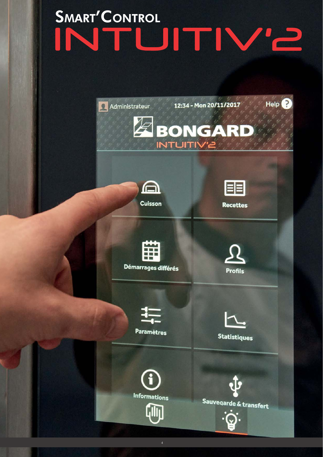# SMART'CONTROL<br>INITUITIV'E

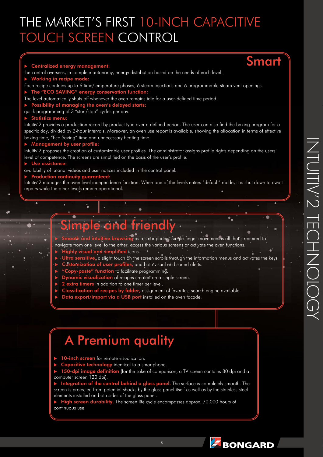# THE MARKET'S FIRST 10-INCH CAPACITIVE TOUCH SCREEN CONTROL

#### -Centralized energy management:

the control oversees, in complete autonomy, energy distribution based on the needs of each level.

- -Vorking in recipe mo
- Each recipe contains up to 6 time/temperature phases, 6 steam injections and 6 programmable steam vent openings.
- ▶ The "ECO SAVING" energy conservation function:
- The level automatically shuts off whenever the oven remains idle for a user-defined time period.
- ▶ Possibility of managing the oven's delayed starts:
- quick programming of 3 "start/stop" cycles per day.

#### -Statistics menu:

Intuitiv'2 provides a production record by product type over a defined period. The user can also find the baking program for a specific day, divided by 2-hour intervals. Moreover, an oven use report is available, showing the allocation in terms of effective baking time, "Eco Saving" time and unnecessary heating time.

#### -Management by user profile:

Intuitiv'2 proposes the creation of customizable user profiles. The administrator assigns profile rights depending on the users' level of competence. The screens are simplified on the basis of the user's profile.

#### -Use assistance:

availability of tutorial videos and user notices included in the control panel.

#### -**Production continuity**

Intuitiv'2 manages the oven level independence function. When one of the levels enters "default" mode, it is shut down to await repairs while the other levels remain operational.

# e and fr

 $\blacktriangleright$ tive browsing as a smartphone. Single-finger movement is all that's required to

- navigate from one level to the other, access the various screens or activate the oven functions.
- -Highly visual and simplified icons.
	- -Ultra sensitive, a slight touch on the screen scrolls through the information menus and activates the keys.
	- -**Customization of user profiles,** and both visual and sound alerts.
	- $\blacktriangleright$ **"Copy-paste" function** to facilitate programming.
	- -**Dynamic visualization** of recipes created on a single screen.
	- -2 extra timers in addition to one timer per level.
	- -Classification of recipes by folder, assignment of favorites, search engine available.
	- -Data export/import via a USB port installed on the oven facade.

## A Premium quality

-10-inch screen for remote visualization.

- -
- Capacitive technology identical to a smartphone.<br>150-dpi image definition (for the sake of compar tion (for the sake of comparison, a TV screen contains 80 dpi and a computer screen 120 dpi).

ration of the control behind a glass panel. The surface is completely smooth. The screen is protected from potential shocks by the glass panel itself as well as by the stainless steel elements installed on both sides of the glass panel.

-**High screen durability.** The screen life cycle encompasses approx. 70,000 hours of continuous use.

Smart

a

 $\bullet_{\mathbf{a}}$ 

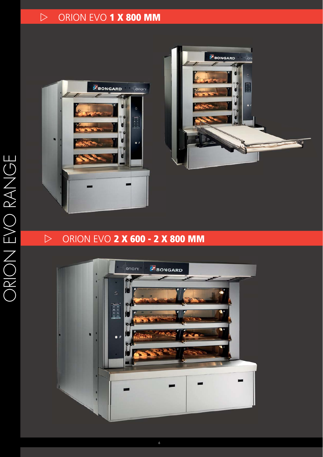## ORION EVO **1 X 800 MM**





## ORION EVO **2 X 600 - 2 X 800 MM**

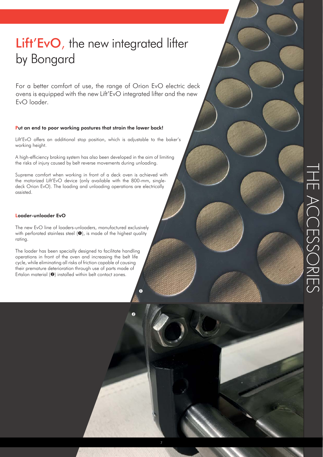# Lift'EvO, the new integrated lifter by Bongard

For a better comfort of use, the range of Orion EvO electric deck ovens is equipped with the new Lift'EvO integrated lifter and the new EvO loader.

#### Put an end to poor working postures that strain the lower back!

Lift'EvO offers an additional stop position, which is adjustable to the baker's working height.

A high-efficiency braking system has also been developed in the aim of limiting the risks of injury caused by belt reverse movements during unloading.

Supreme comfort when working in front of a deck oven is achieved with the motorized Lift'EvO device (only available with the 800-mm, singledeck Orion EvO). The loading and unloading operations are electrically assisted.

#### Loader-unloader EvO

The new EvO line of loaders-unloaders, manufactured exclusively with perforated stainless steel  $(①)$ , is made of the highest quality rating.

The loader has been specially designed to facilitate handling operations in front of the oven and increasing the belt life cycle, while eliminating all risks of friction capable of causing their premature deterioration through use of parts made of Ertalon material  $(②)$  installed within belt contact zones.



 $\overline{\mathbf{0}}$